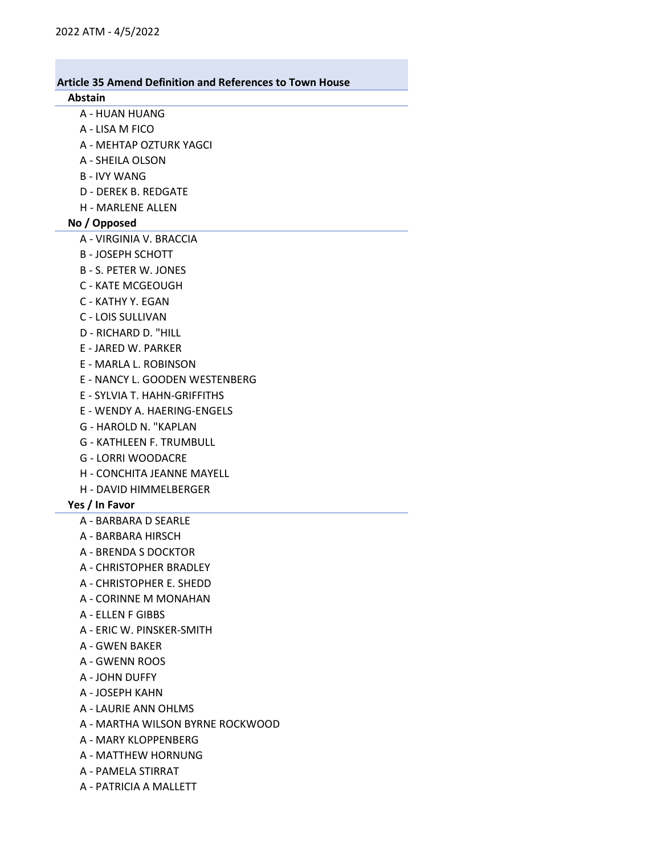#### Abstain

- A HUAN HUANG
- A LISA M FICO
- A MEHTAP OZTURK YAGCI
- A SHEILA OLSON
- B IVY WANG
- D DEREK B. REDGATE
- H MARLENE ALLEN

# No / Opposed

- A VIRGINIA V. BRACCIA
- B JOSEPH SCHOTT
- B S. PETER W. JONES
- C KATE MCGEOUGH
- C KATHY Y. EGAN
- C LOIS SULLIVAN
- D RICHARD D. "HILL
- E JARED W. PARKER
- E MARLA L. ROBINSON
- E NANCY L. GOODEN WESTENBERG
- E SYLVIA T. HAHN-GRIFFITHS
- E WENDY A. HAERING-ENGELS
- G HAROLD N. "KAPLAN
- G KATHLEEN F. TRUMBULL
- G LORRI WOODACRE
- H CONCHITA JEANNE MAYELL
- H DAVID HIMMELBERGER

### Yes / In Favor

- A BARBARA D SEARLE
- A BARBARA HIRSCH
- A BRENDA S DOCKTOR
- A CHRISTOPHER BRADLEY
- A CHRISTOPHER E. SHEDD
- A CORINNE M MONAHAN
- A ELLEN F GIBBS
- A ERIC W. PINSKER-SMITH
- A GWEN BAKER
- A GWENN ROOS
- A JOHN DUFFY
- A JOSEPH KAHN
- A LAURIE ANN OHLMS
- A MARTHA WILSON BYRNE ROCKWOOD
- A MARY KLOPPENBERG
- A MATTHEW HORNUNG
- A PAMELA STIRRAT
- A PATRICIA A MALLETT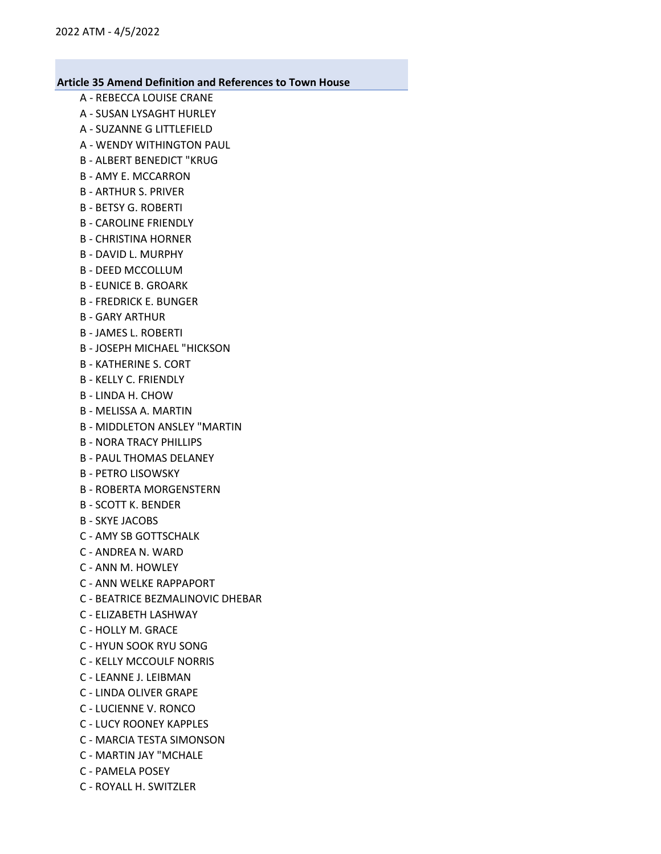- A REBECCA LOUISE CRANE
- A SUSAN LYSAGHT HURLEY
- A SUZANNE G LITTLEFIELD
- A WENDY WITHINGTON PAUL
- B ALBERT BENEDICT "KRUG
- B AMY E. MCCARRON
- B ARTHUR S. PRIVER
- B BETSY G. ROBERTI
- B CAROLINE FRIENDLY
- B CHRISTINA HORNER
- B DAVID L. MURPHY
- B DEED MCCOLLUM
- B EUNICE B. GROARK
- B FREDRICK E. BUNGER
- B GARY ARTHUR
- B JAMES L. ROBERTI
- B JOSEPH MICHAEL "HICKSON
- B KATHERINE S. CORT
- B KELLY C. FRIENDLY
- B LINDA H. CHOW
- B MELISSA A. MARTIN
- B MIDDLETON ANSLEY "MARTIN
- B NORA TRACY PHILLIPS
- B PAUL THOMAS DELANEY
- B PETRO LISOWSKY
- B ROBERTA MORGENSTERN
- B SCOTT K. BENDER
- B SKYE JACOBS
- C AMY SB GOTTSCHALK
- C ANDREA N. WARD
- C ANN M. HOWLEY
- C ANN WELKE RAPPAPORT
- C BEATRICE BEZMALINOVIC DHEBAR
- C ELIZABETH LASHWAY
- C HOLLY M. GRACE
- C HYUN SOOK RYU SONG
- C KELLY MCCOULF NORRIS
- C LEANNE J. LEIBMAN
- C LINDA OLIVER GRAPE
- C LUCIENNE V. RONCO
- C LUCY ROONEY KAPPLES
- C MARCIA TESTA SIMONSON
- C MARTIN JAY "MCHALE
- C PAMELA POSEY
- C ROYALL H. SWITZLER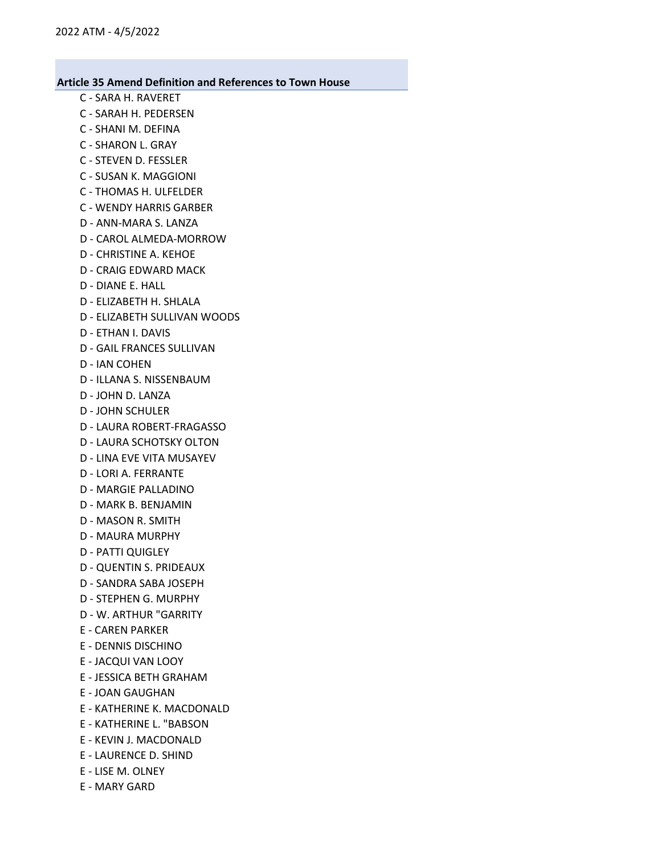- C SARA H. RAVERET
- C SARAH H. PEDERSEN
- C SHANI M. DEFINA
- C SHARON L. GRAY
- C STEVEN D. FESSLER
- C SUSAN K. MAGGIONI
- C THOMAS H. ULFELDER
- C WENDY HARRIS GARBER
- D ANN-MARA S. LANZA
- D CAROL ALMEDA-MORROW
- D CHRISTINE A. KEHOE
- D CRAIG EDWARD MACK
- D DIANE E. HALL
- D ELIZABETH H. SHLALA
- D ELIZABETH SULLIVAN WOODS
- D ETHAN I. DAVIS
- D GAIL FRANCES SULLIVAN
- D IAN COHEN
- D ILLANA S. NISSENBAUM
- D JOHN D. LANZA
- D JOHN SCHULER
- D LAURA ROBERT-FRAGASSO
- D LAURA SCHOTSKY OLTON
- D LINA EVE VITA MUSAYEV
- D LORI A. FERRANTE
- D MARGIE PALLADINO
- D MARK B. BENJAMIN
- D MASON R. SMITH
- D MAURA MURPHY
- D PATTI QUIGLEY
- D QUENTIN S. PRIDEAUX
- D SANDRA SABA JOSEPH
- D STEPHEN G. MURPHY
- D W. ARTHUR "GARRITY
- E CAREN PARKER
- E DENNIS DISCHINO
- E JACQUI VAN LOOY
- E JESSICA BETH GRAHAM
- E JOAN GAUGHAN
- E KATHERINE K. MACDONALD
- E KATHERINE L. "BABSON
- E KEVIN J. MACDONALD
- E LAURENCE D. SHIND
- E LISE M. OLNEY
- E MARY GARD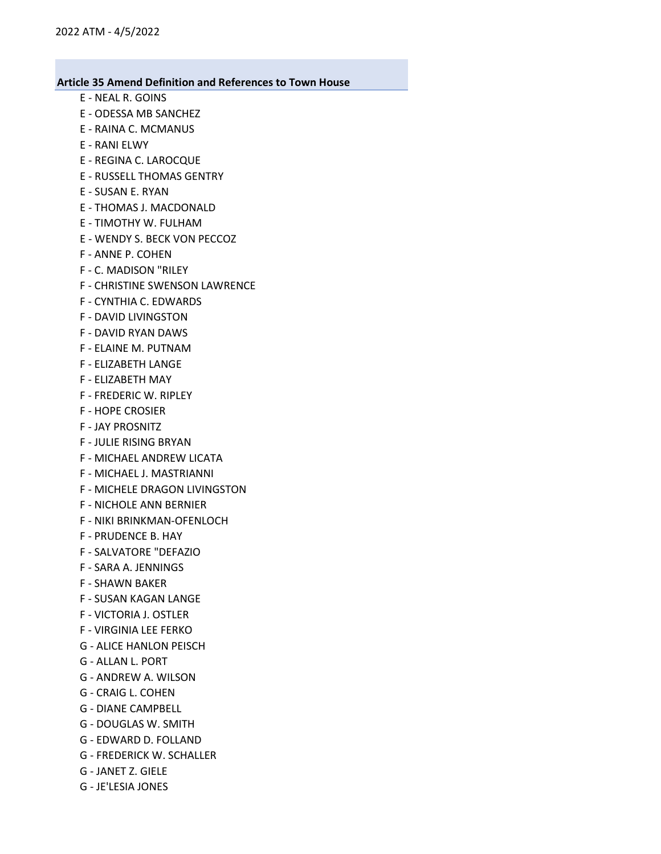- E NEAL R. GOINS
- E ODESSA MB SANCHEZ
- E RAINA C. MCMANUS
- E RANI ELWY
- E REGINA C. LAROCQUE
- E RUSSELL THOMAS GENTRY
- E SUSAN E. RYAN
- E THOMAS J. MACDONALD
- E TIMOTHY W. FULHAM
- E WENDY S. BECK VON PECCOZ
- F ANNE P. COHEN
- F C. MADISON "RILEY
- F CHRISTINE SWENSON LAWRENCE
- F CYNTHIA C. EDWARDS
- F DAVID LIVINGSTON
- F DAVID RYAN DAWS
- F ELAINE M. PUTNAM
- F ELIZABETH LANGE
- F ELIZABETH MAY
- F FREDERIC W. RIPLEY
- F HOPE CROSIER
- F JAY PROSNITZ
- F JULIE RISING BRYAN
- F MICHAEL ANDREW LICATA
- F MICHAEL J. MASTRIANNI
- F MICHELE DRAGON LIVINGSTON
- F NICHOLE ANN BERNIER
- F NIKI BRINKMAN-OFENLOCH
- F PRUDENCE B. HAY
- F SALVATORE "DEFAZIO
- F SARA A. JENNINGS
- F SHAWN BAKER
- F SUSAN KAGAN LANGE
- F VICTORIA J. OSTLER
- F VIRGINIA LEE FERKO
- G ALICE HANLON PEISCH
- G ALLAN L. PORT
- G ANDREW A. WILSON
- G CRAIG L. COHEN
- G DIANE CAMPBELL
- G DOUGLAS W. SMITH
- G EDWARD D. FOLLAND
- G FREDERICK W. SCHALLER
- G JANET Z. GIELE
- G JE'LESIA JONES